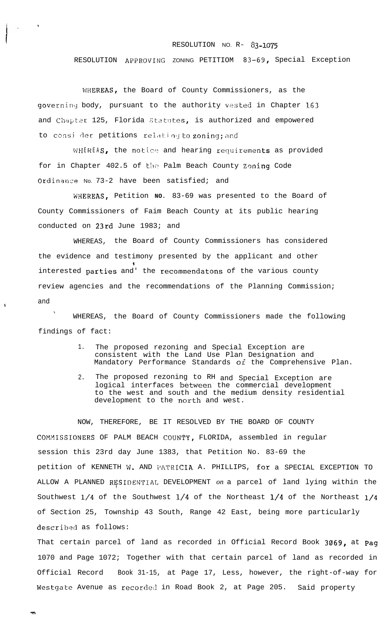## RESOLUTION NO. R- 83-1075

## RESOLUTION APPROVING ZONING PETITIOM 83-69, Special Exception

WHEREAS, the Board of County Commissioners, as the governing body, pursuant to the authority vested in Chapter 163 and Chapter 125, Florida Statutes, is authorized and empowered to consi der petitions relating to zoning; and

WHEREAS, the notice and hearing requirements as provided for in Chapter 402.5 of the Palm Beach County Zoning Code Ordinance No. 73-2 have been satisfied; and

WHEREAS, Petition **NO.** 83-69 was presented to the Board of County Commissioners of Faim Beach County at its public hearing conducted on 23rd June 1983; and

WHEREAS, the Board of County Commissioners has considered the evidence and testimony presented by the applicant and other ν. interested parties and' the recommendatons of the various county review agencies and the recommendations of the Planning Commission; and

\ WHEREAS, the Board of County Commissioners made the following findings of fact:

- 1. The proposed rezoning and Special Exception are consistent with the Land Use Plan Designation and Mandatory Performance Standards of the Comprehensive Plan.
- 2. The proposed rezoning to RH and Special Exception are logical interfaces between the commercial development to the west and south and the medium density residential development to the north and west.

NOW, THEREFORE, BE IT RESOLVED BY THE BOARD OF COUNTY COMMISSIONERS OF PALM BEACH COUNTY, FLORIDA, assembled in regular session this 23rd day June 1383, that Petition No. 83-69 the petition of KENNETH W. AND PATRICIA A. PHILLIPS, for a SPECIAL EXCEPTION TO ALLOW A PLANNED RI\$SIDENTIAL DEVELOPMENT *on* a parcel of land lying within the Southwest l/4 of the Southwest l/4 of the Northeast l/4 of the Northeast l/4 of Section 25, Township 43 South, Range 42 East, being more particularly described as follows:

That certain parcel of land as recorded in Official Record Book 3069, at Pag 1070 and Page 1072; Together with that certain parcel of land as recorded in Official Record Book 31-15, at Page 17, Less, however, the right-of-way for Westgate Avenue as recorded in Road Book 2, at Page 205. Said property

 $\begin{array}{ccc} & & & & \\ & \ddots & & \end{array}$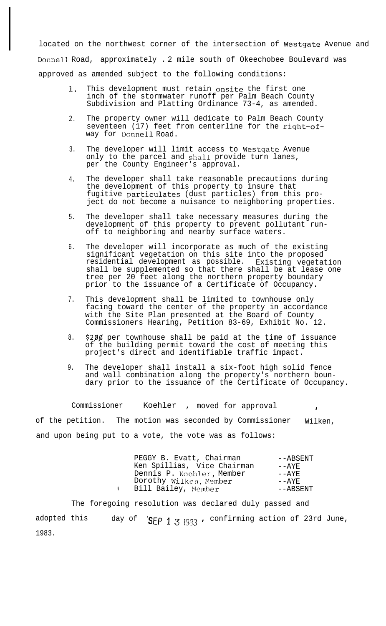located on the northwest corner of the intersection of Westgate Avenue and Donnell Road, approximately . 2 mile south of Okeechobee Boulevard was approved as amended subject to the following conditions:

- 1. This development must retain onsite the first one inch of the stormwater runoff per Palm Beach County Subdivision and Platting Ordinance 73-4, as amended.
- 2. The property owner will dedicate to Palm Beach County seventeen (17) feet from centerline for the right-ofway for Donnell Road.
- 3. The developer will limit access to Westgate Avenue only to the parcel and shall provide turn lanes, per the County Engineer's approval.
- 4. The developer shall take reasonable precautions during the development of this property to insure that fugitive particulates (dust particles) from this project do not become a nuisance to neighboring properties.
- 5. The developer shall take necessary measures during the development of this property to prevent pollutant runoff to neighboring and nearby surface waters.
- 6. The developer will incorporate as much of the existing significant vegetation on this site into the proposed residential development as possible. Existing vegetation shall be supplemented so that there shall be at lease one tree per 20 feet along the northern property boundary prior to the issuance of a Certificate of Occupancy.
- 7. This development shall be limited to townhouse only facing toward the center of the property in accordance with the Site Plan presented at the Board of County Commissioners Hearing, Petition 83-69, Exhibit No. 12.
- 8. \$200 per townhouse shall be paid at the time of issuance of the building permit toward the cost of meeting this project's direct and identifiable traffic impact.
- 9. The developer shall install a six-foot high solid fence and wall combination along the property's northern boundary prior to the issuance of the Certificate of Occupancy.

Commissioner Koehler , moved for approval of the petition. The motion was seconded by Commissioner Wilken, and upon being put to a vote, the vote was as follows:

| Ken Spillias, Vice Chairman<br>$- \Delta YF$<br>Dennis P. Koehler, Member<br>$- \Delta YF$<br>Dorothy Wilken, Member<br>––AYE<br>Bill Bailey, Member | PEGGY B. Evatt, Chairman | $--ABSENT$ |
|------------------------------------------------------------------------------------------------------------------------------------------------------|--------------------------|------------|
|                                                                                                                                                      |                          |            |
|                                                                                                                                                      |                          |            |
|                                                                                                                                                      |                          |            |
|                                                                                                                                                      |                          | $--ABSENT$ |

The foregoing resolution was declared duly passed and adopted this  $\,$  day of  $\,$  SEP 1 3 1983 , confirming action of 23rd June,  $\,$ 1983.